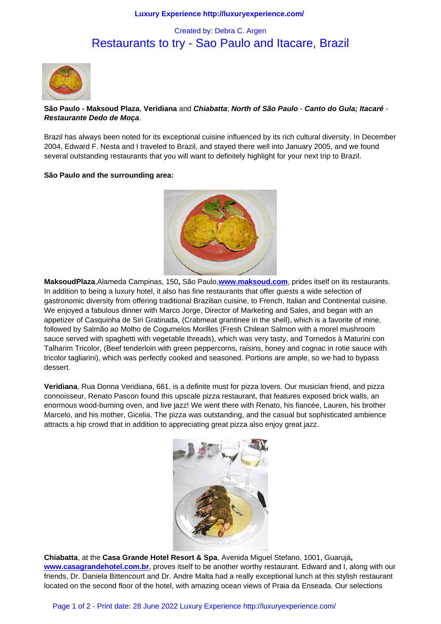# Restaurants to try - Sao Paulo and Itacare, Brazil



# **São Paulo - Maksoud Plaza**, **Veridiana** and **Chiabatta**; **North of São Paulo** - **Canto do Gula; Itacaré** - **Restaurante Dedo de Moça**.

Brazil has always been noted for its exceptional cuisine influenced by its rich cultural diversity. In December 2004, Edward F. Nesta and I traveled to Brazil, and stayed there well into January 2005, and we found several outstanding restaurants that you will want to definitely highlight for your next trip to Brazil.

#### **São Paulo and the surrounding area:**



**MaksoudPlaza**,Alameda Campinas, 150**,** São Paulo,**www.maksoud.com**, prides itself on its restaurants. In addition to being a luxury hotel, it also has fine restaurants that offer guests a wide selection of gastronomic diversity from offering traditional Brazilian cuisine, to French, Italian and Continental cuisine. We enjoyed a fabulous dinner with Marco Jorge, Director of Marketing and Sales, and began with an appetizer of Casquinha de Siri Gratinada, (Crabmeat [grantinee in the shell\)](http://www.maksoud.com/), which is a favorite of mine, followed by Salmão ao Molho de Cogumelos Morilles (Fresh Chilean Salmon with a morel mushroom sauce served with spaghetti with vegetable threads), which was very tasty, and Tornedos à Maturini con Talharim Tricolor, (Beef tenderloin with green peppercorns, raisins, honey and cognac in rotie sauce with tricolor tagliarini), which was perfectly cooked and seasoned. Portions are ample, so we had to bypass dessert.

**Veridiana**, Rua Donna Veridiana, 661, is a definite must for pizza lovers. Our musician friend, and pizza connoisseur, Renato Pascon found this upscale pizza restaurant, that features exposed brick walls, an enormous wood-burning oven, and live jazz! We went there with Renato, his fiancée, Lauren, his brother Marcelo, and his mother, Gicelia. The pizza was outstanding, and the casual but sophisticated ambience attracts a hip crowd that in addition to appreciating great pizza also enjoy great jazz.



**Chiabatta**, at the **Casa Grande Hotel Resort & Spa**, Avenida Miguel Stefano, 1001, Guarujá**, www.casagrandehotel.com.br**, proves itself to be another worthy restaurant. Edward and I, along with our friends, Dr. Daniela Bittencourt and Dr. Andre Malta had a really exceptional lunch at this stylish restaurant located on the second floor of the hotel, with amazing ocean views of Praia da Enseada. Our selections